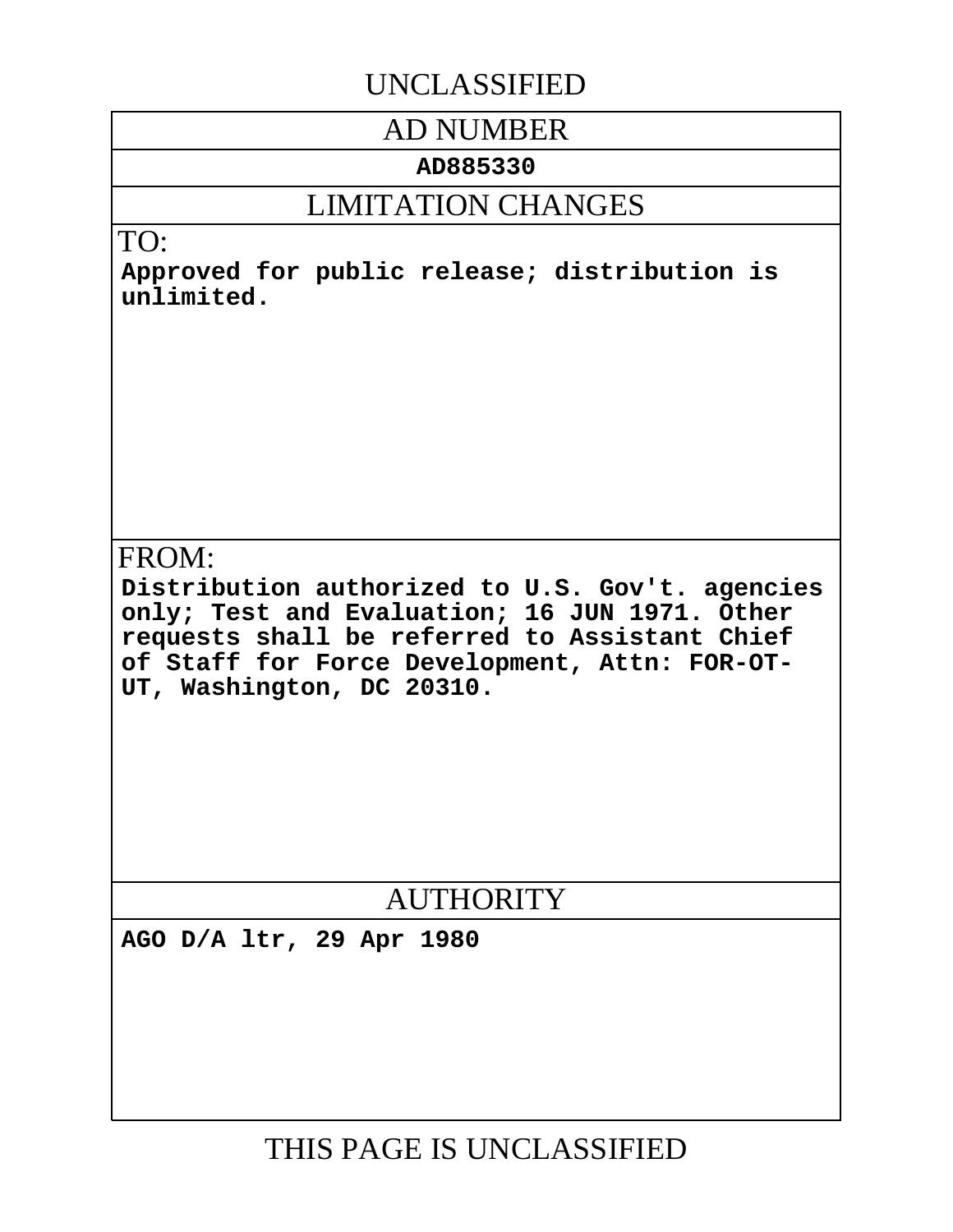# UNCLASSIFIED

# AD NUMBER

# **AD885330**

# LIMITATION CHANGES

# TO:

**Approved for public release; distribution is unlimited.**

# FROM:

**Distribution authorized to U.S. Gov't. agencies only; Test and Evaluation; 16 JUN 1971. Other requests shall be referred to Assistant Chief of Staff for Force Development, Attn: FOR-OT-UT, Washington, DC 20310.**

# **AUTHORITY**

**AGO D/A ltr, 29 Apr 1980**

THIS PAGE IS UNCLASSIFIED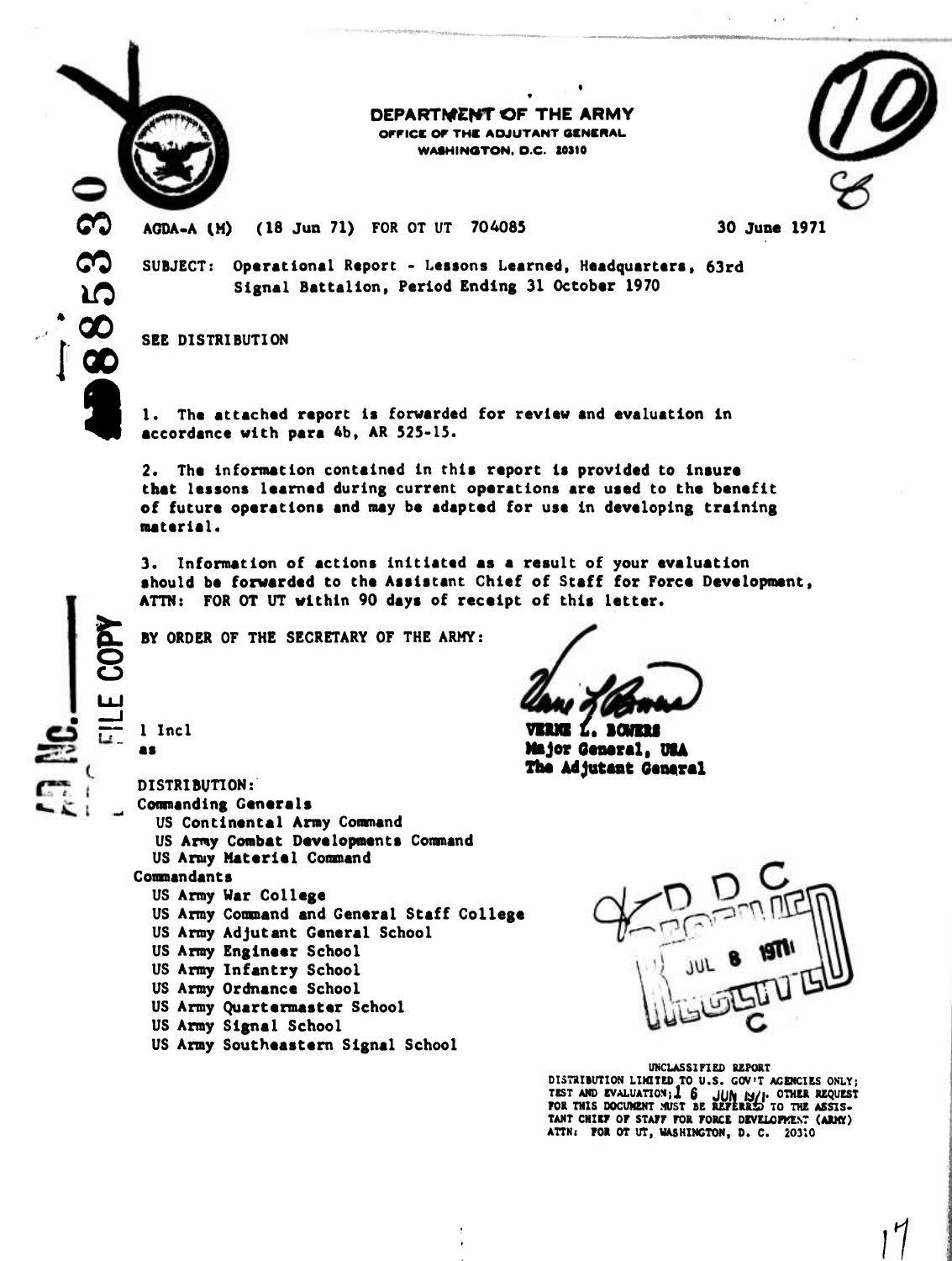

**00**

*in*

**too I«t**

**fc**

**r- <sup>1</sup> Incl es**

### **DEPARTMENT OF THE ARMY OFFICE OF THE ADJUTANT GENERAL. WASHINOTON, O.C. 10310**



AGDA-A *(H)* (18 Jun 71) FOR 0T UT 704085 30 **June** 1971

**SUBJECT: Operational Report - Lessons Learned, Headquarteri, 63rd Signal Battalion, Period Ending 31 October 1970**

**SEE DISTRIBUTION**

**1. The ettached report is forwarded for review and evaluation in accordance with para 4b, AR 525-15.**

**2. The in format ion contained in this report is provided to insure that lessons learned during current operations are used to the benefit of future operations and may be adapted for use in developing training material.**

**3. Information of actions initiated as a result of your evaluation should be forwarded to the Assistant Chief of Staff for Force Development, ATTN: FOR 0T UT within 90 days of receipt of this letter.**

**BY ORDER OF THE SECRETARY OF THE ARMY:**

**DISTRIBUTION: Commanding Generels US Continental Army Command US Army Combat Developments Command US Army Materiel Conmand Commandants US Army War College US Army Command and General Staff College US Army Adjutant General School US Army Engineer School US Army Infantry School US Army Ordnance School US Army Quartermaster School US Army Signel School US Army Southeastern Signel School**

**vnn £. Boum Mjor Omartl, 014 The Adjutant Gcnernl**

### **UNCLASSIFIED REPORT**

**DISTRIBUTION LIMITED TO U.S. GOV'T AGENCIES ONLY; TEST AMD EVALUATIONil £ Jjjfc M/l. OTHER REQUEST FOR THIS DOCUMENT MUST BE REPERRSD TO THE ASSIS-TANT CHIET OF STAFF FOR FORCE DEVELOPKE.VT (AIMT) ATTN: FOR OT UT, WASHINGTON, D. C. 20310**

> Н *}1*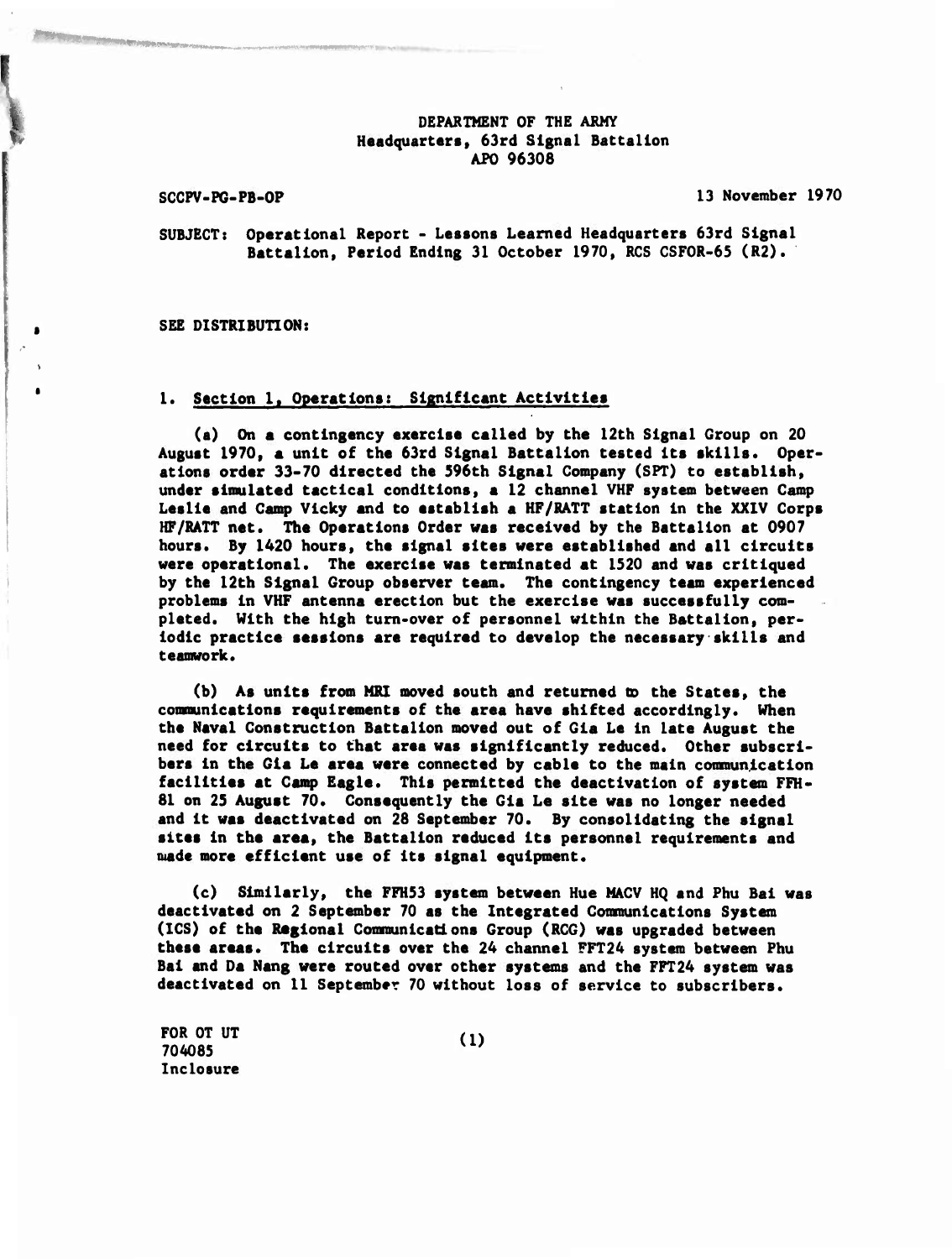### **DEPARTMENT OF THE ARMY Headquarters, 63rd Signal Battalion APO 96308**

**SCCPV-PG-PB-OP 13 November 1970**

**SUBJECT: Operational Report - Lessons Learned Headquarters 63rd Signal Battalion, Period Ending 31 October 1970, RCS CSFOR-65 (R2).**

**SEE DISTRIBUTION:**

### **1. Section 1, Operations: Significant Activities**

**(a) On a contingency exercise called by the 12th Signal Group on 20 August 1970, a unit of the 63rd Signal Battalion tested its skills. Operations order 33-70 directed the 596th Signal Company (SPT) to establish, under simulated tactical conditions, a 12 channel VHP system between Camp Leslie and Camp Vicky and to establish a HF/RATT station in the XXIV Corps HF/RATT net. The Operations Order was received by the Battalion at 0907 hours. By 1420 hours, the signal sites were established and all circuits were operational. The exercise was terminated at 1520 and was critiqued by the 12th Signal Group observer team. The contingency team experienced problems in VHP antenna erection but the exercise was successfully completed. With the high turn-over of personnel within the Battalion, periodic practice sessions are required to develop the necessary skills and teamvork.**

**(b) As units from MRI moved south and returned to the States, the communications requirements of the area have shifted accordingly. When the Naval Construction Battalion moved out of Gia Le in late August the need for circuits to that area was significantly reduced. Other subscribers in the Gia Le area were connected by cable to the main comnunication facilities at Camp Eagle. This permitted the deactivation of system FFH-81 on 25 August 70. Consequently the Gia Le site was no longer needed and it was deactivated on 28 September 70. By consolidating the signal sites in the area» the Battalion reduced its personnel requirements and made more efficient use of its signal equipment.**

**(c) Similarly, the FFH53 system between Hue MACV HQ and Phu Bai was deactivated on 2 September 70 as the Integrated Communications System (ICS) of the Regional Communications Group (RCG) was upgraded between these areas. The circuits over the 24 channel FFT24 system between Phu Bai and Da Nang were routed over other systems and the FPT24 system was deactivated on II September 70 without loss of service to subscribers.**

**FOR 0T UT** (1) **704085** *'* **Inclosure**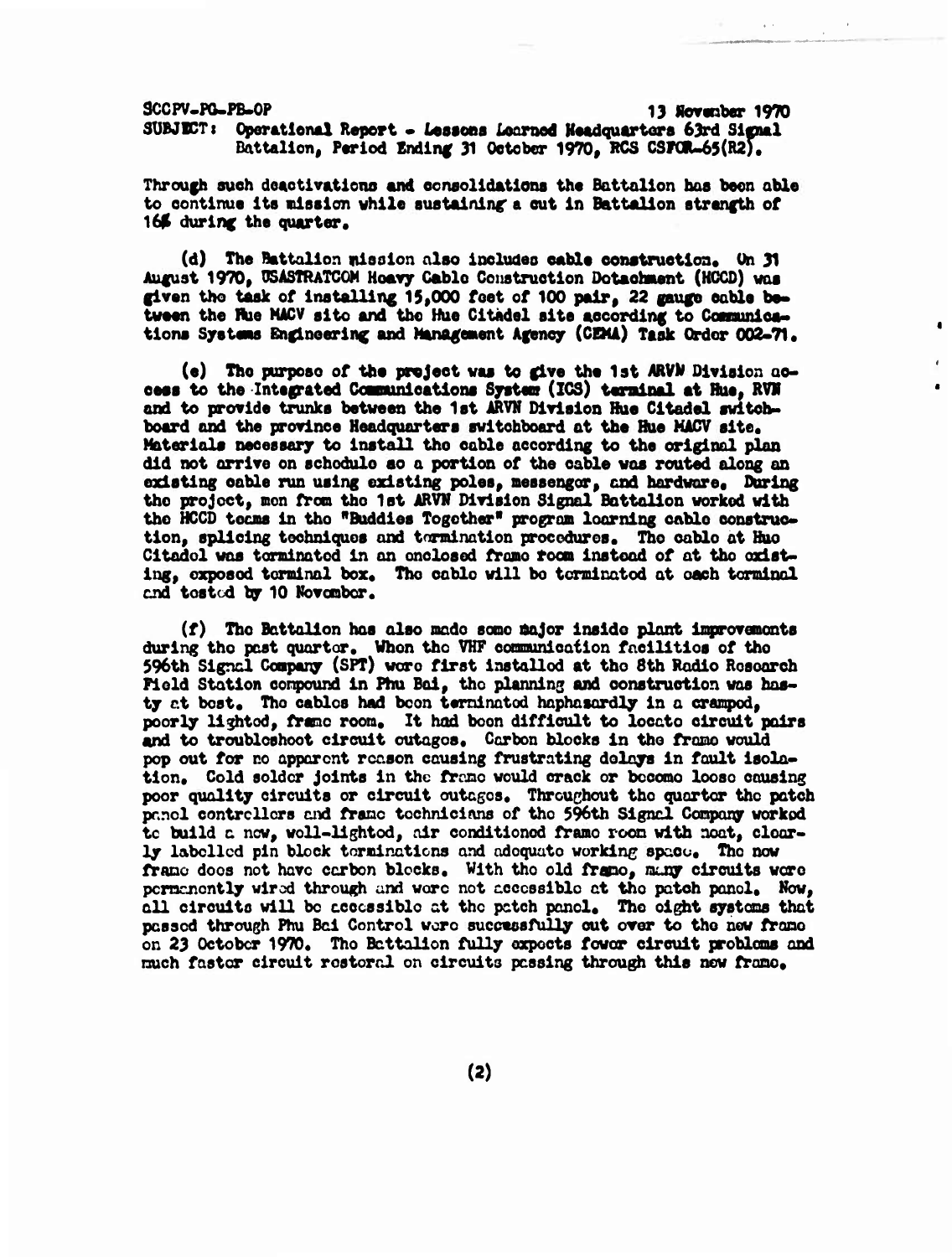**3CCPV-PO-FB-0P 13 Novsnber 1970**  $SUBJDCT:$  Operational Report  $\bullet$  Lessons Learned Headquarters 63rd Signal **Battalion, Period Endlnf 31 October 1970, RCS CSrCR-65(R2).**

**Through auch doactlvatlcno and eoneolidatlona the Battalion has been able to continue Its «lesion while eustalnlnc a cut In Battalion strength of 16\$ during the quarter.**

**(d) The Battalion nlsslon also includeo cable construction» On 31 August 1970» 0SASTRATCOM Heavy Cable Construction Dotaehaent (HCCD) was given tho task of installing 15\*000 feet of 100 pair, 22 gauge cable be« tween the flue MACV alto and the Hue Citadel site according to Conunlca» tlons Systsas Engineering and Managenent Agency (CSU) Task Order 002-71\***

**(e) Tho purpose of the project was to give the 1st ARVM Division access to the Integrated Cosnunieations Systeat (IG3) terminal at Hue, RVM and to provide trunks between the 1st ARVN Division Hue Citadel switchboard and the province Headquarters switchboard ot the Rue MACV site. Materials necessary to install tho cable according to the original plan did not arrive on echodulo so a portion of the cable was routed along on existing cable run using existing poles, messengor, and hardware. During the project, mon fron tho 1st ARVN Division Signal Battalion worked with tho HCCD teens in tho "Buddies Together\* program looming cablo construction, splicing techniques and tomination procedures. Tho cable at Huo Citadel was terminated in an enclosed frame room instead of at tho existing, exposed terminal box. The cable will be tcrminatod at oach torminol end toatod by 10 Novcnbcr.**

**(f) The Battalion hoe alao made aaoo major inaido plant inprovanonta during tho peat quarter. When tho VHP ooamunlcation facilitloa of the 596th Signal Company (SPT) wore first inatallod at tho 8th Radio Roaoarch Pield Station conpound in Phu Bai, tho planning and construction was hasty at boat. Tho cables had boon teminatod haphasardly in a ersnped, poorly lighted, franc room. It hod boon difficult to locate circuit pairs and to troubloshoot circuit outages. Carbon blocks in the frame would pop out for no apparent rcr.son causing frustrating delays in fault isolation. Cold solder joints in the frrxic would crack or becomo loose causing poor quality circuits or circuit outages. Throughout tho quarter the patch pr.ncl contrcllcrs and frame technicians of tho 596th Signal Company worked tc build a now, woll-lightod, air conditioned frame room with neat, clearly labelled pin block terminations and adequate working space. Tho now frame does not have carbon blocks. With tho old fTspo, rauqr circuits wore permanently wired through and wore net accessible at tho patch panel. Mow, all circuits will be accessible at the patch panel. The eight systems that passed through Phu Bai Control wore successfully cut over to the new frame on 23 October 1970, Tho Battalion fully expects fowcr circuit problems and much faster circuit rostoral on circuits passing through this new frame.**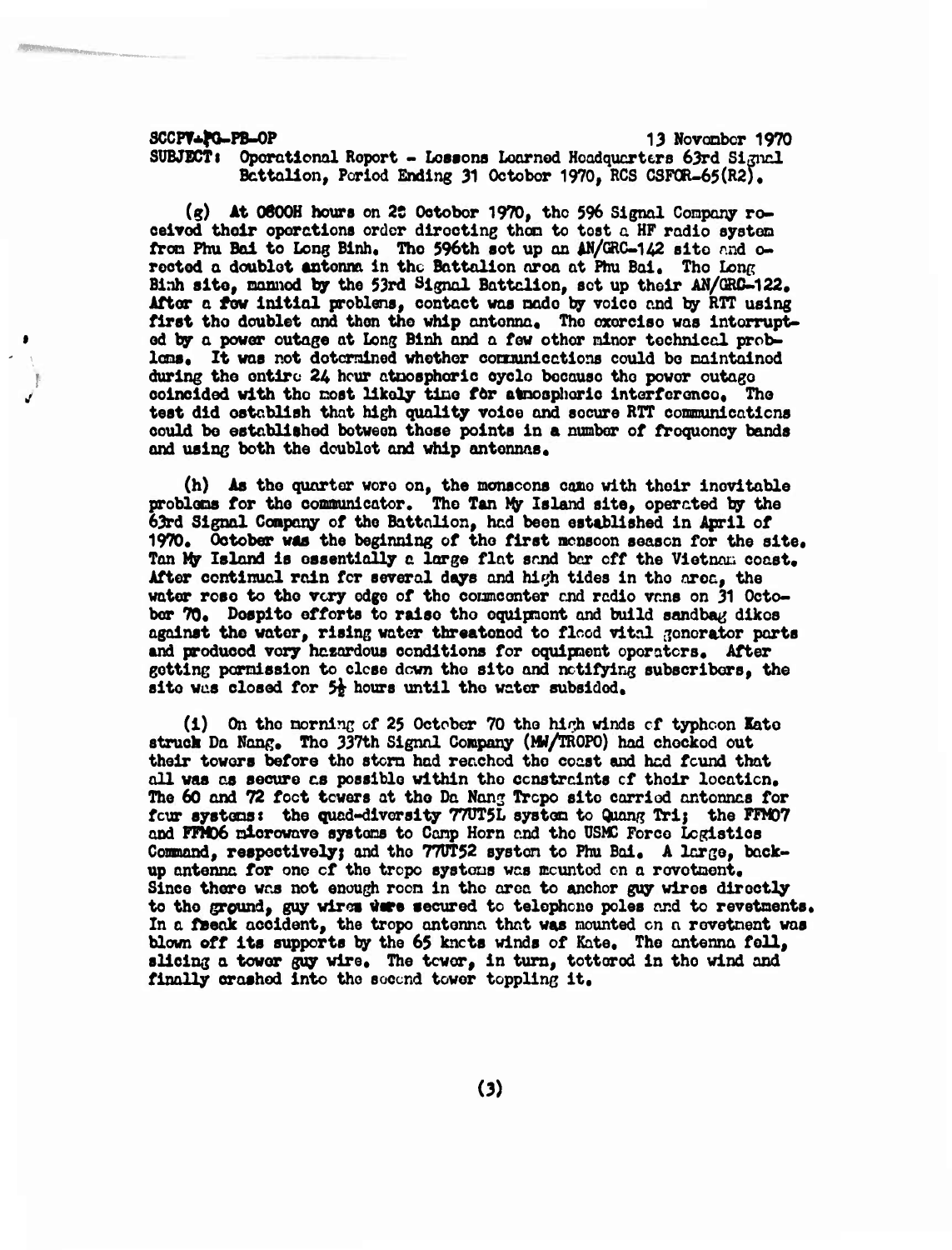**SCCPf\*fO-PB-OP 13 Novonbor 1970**

**SUBJECTS Oporaticml Report - Lessons Loomed Hcadqucrtcrs 63rd SijnrJ. Bcttallon, Period Ending 31 October 1970, RCS GSF0R-65(R2)#**

**(g) At 0800H hours on 2S October 1970, the \$96 Signal Company roceivod their operations order directing then to tost a HF radio systen fron Pfau Bai to Long Binh, The 596th set up an iLN/(ÄC-142 site nnd oreoted a doublet «atonna in the Battalion area at Phu Bai, Tho Long Binh site, nanned by the 53rd Signal Battalion, set up their M/GRC-122, After a few initial problens, contact was nado by voice and by RTT using first tho doublet and then the whip antenna« The exercise was interrupt od by a power outage at Long Binh and a few other ninor technical problems. It was not detcrainod whether ootnunicctions could bo maintained during the entire 24 hour atmospheric cycle because the power outage / coincided with tho most likely time for atmospheric interference« The test did establish that high quality voice and secure RTT coamunicatiens could be established between these points in a number of froquoncy bands and using both the doublet and whip antennas,**

**(h) As the quarter wore on, the monsoons came with their inevitable problems for the conaunicator. The Tan** *My* **Island site, operated by the 63rd Signal Company of tho Battalion, had been established in April of 1970, October was the beginning of the first nensoon season for the site. Tan tyr Island is essentially a large flat sand bcr off the Viotnnn coast. After continual rain for several days and hiyh tides in the area, the water rose to the very edge of the conmcenter and radio vans on 31 October 70, Despite efforts to raise tho equipment and build sandbag dikes against the water, rising water threatened to flood vital generator parts and produced vory hazardous conditions for equipment operators. After getting permission to close down the site and notifying subscribers, the site was closed for** *5%* **hours until the water subsided,**

**(1) On the morning of 25 October 70 the hirji winds of typhoon Kate struck Da Nang, The 337th Signal Company (HU/IR0P0) had checked out their towers before tho storm had reached the coast and had found that all was as secure as possible within the constraints of their location. The 60 and 72 foot towers at the Da Wang Trope site carried antennas for four systems <sup>t</sup> the quad-diversity 77DT5L system to Quong Trij the FFM07 and** *¥tV06* **microwave systons to Conp Horn and tho ÜSMC Force Logistics Command, respectively} and the 77DT52 systen to Phu Bai, A large, backup antenna for one of tho tropo systems was mounted on a revetment. Since there was not enough room in tho area to anchor guy wires directly to tho ground, guy wires tore secured to telephone poles and to revetments. In a ftoeok accident, the tropo antenna that was mounted on n rovetnent was blown off its supports by the 65 knots winds of Kate, The antenna fell, slicing a tower guy wire. The tower, in turn, tottored in the wind and finally crashed into tho second tower toppling it.**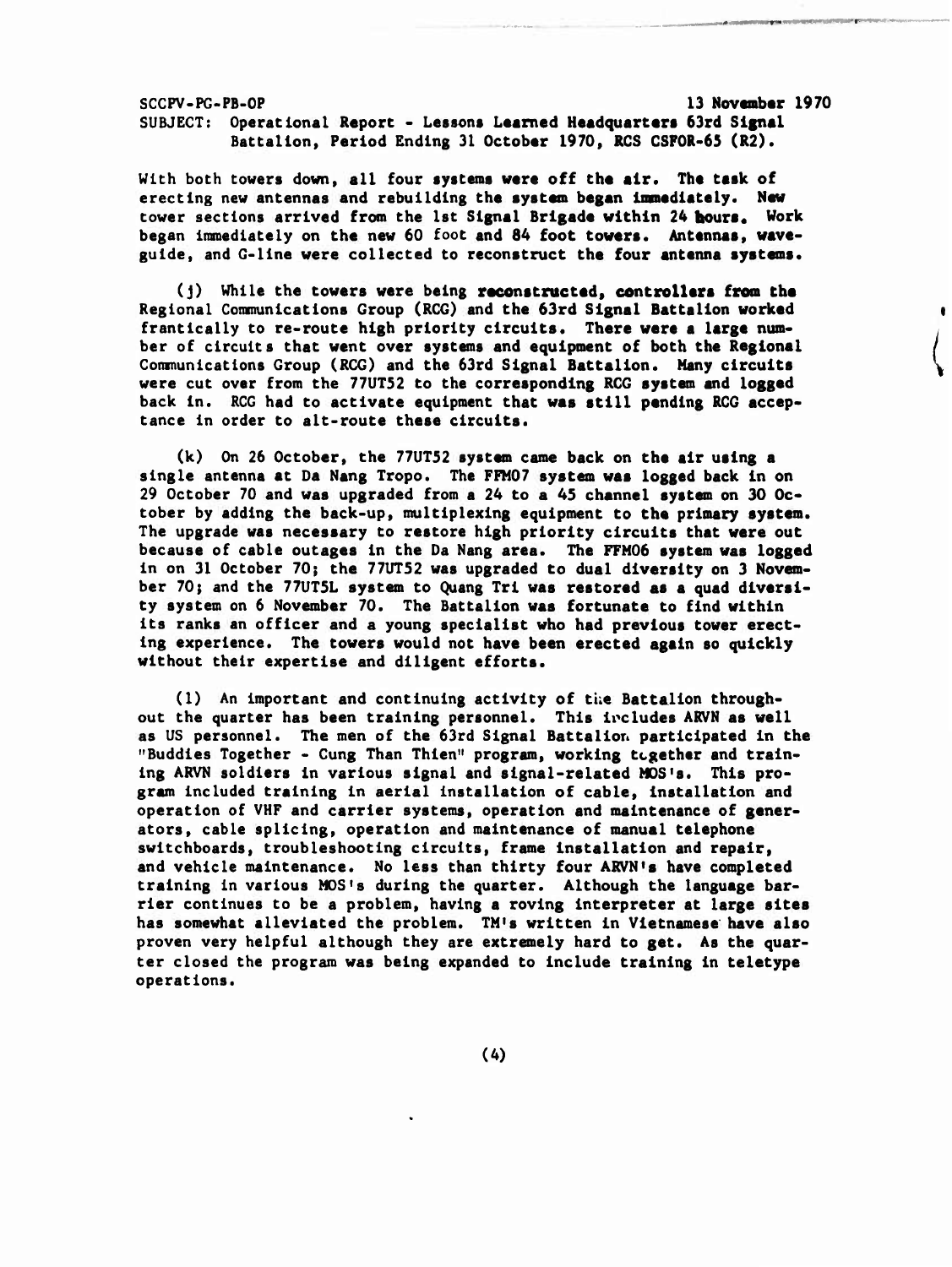**SCCPV-PG-PB-OP 13 Novambar 1970 SUBJECT: Operational Report - Lessons Learned Headquarters 63rd Signal Battalion, Period Ending 31 October 1970, RCS CSFOR-65 (R2).**

**With both towers down, all four systems were off the air. The task of erecting new antennas and rebuilding the system began immediately. New tower sections arrived from the 1st Signal Brigade within 24 hours. Work began immediately on the new 60 foot and 84 foot towers. Antennas, waveguide, and G-line were collected to reconstruct the four antenna systems.**

**(J) While the towers were being reconstructed, controllers from the Regional Communications Group (RCG) and the 63rd Signal Battalion worked frantically to re-route high priority circuits. There were a large number of circuits that went over systems and equipment of both the Regional Communications Group (RCG) and the 63rd Signal Battalion. Many circuits were cut over from the 77UT52 to the corresponding RCG system and logged back in. RCG had to activate equipment that was still pending RCG acceptance In order to alt-route these circuits.**

**(k) On 26 October, the 77UT52 system came back on the air using a single antenna at Da Nang Tropo. The FFM07 system was logged back in on 29 October 70 and was upgraded from a 24 to a 45 channel system on 30 October by adding the back-up, multiplexing equipment to the primary system. The upgrade was necessary to restore high priority circuits that ware out because of cable outages in the Da Nang area. The FFM06 system was logged in on 31 October 70; the 77UT52 was upgraded to dual diversity on 3 November 70; and the 77UT5L system to Quang Tri was restored as a quad diversity system on 6 November 70. The Battalion was fortunate to find within its ranks an officer and a young specialist who had previous tower erecting experience. The towers would not have been erected again so quickly without their expertise and diligent efforts.**

**(1) An important and continuing activity of the Battalion throughout the quarter has been training personnel. This includes ARVN as well as US personnel. The men of the 63rd Signal Battalion participated in the "Buddies Together - Cung Than Thien" program, working together and training ARVN soldiers in various signal and signal-related MOS's. This program included training in aerial installation of cable, installation and operation of VHF and carrier systems, operation and maintenance of generators, cable splicing, operation and maintenance of manual telephone switchboards, troubleshooting circuits, frame installation and repair, and vehicle maintenance. No less than thirty four ARVN'a have completed training in various MOS's during the quarter. Although the language barrier continues to be a problem, having a roving interpreter at large sites has somewhat alleviated the problem. TM's written in Vietnamese have also proven very helpful although they are extremely hard to get. As the quarter closed the program was being expanded to include training in teletype operations.**

**(4)**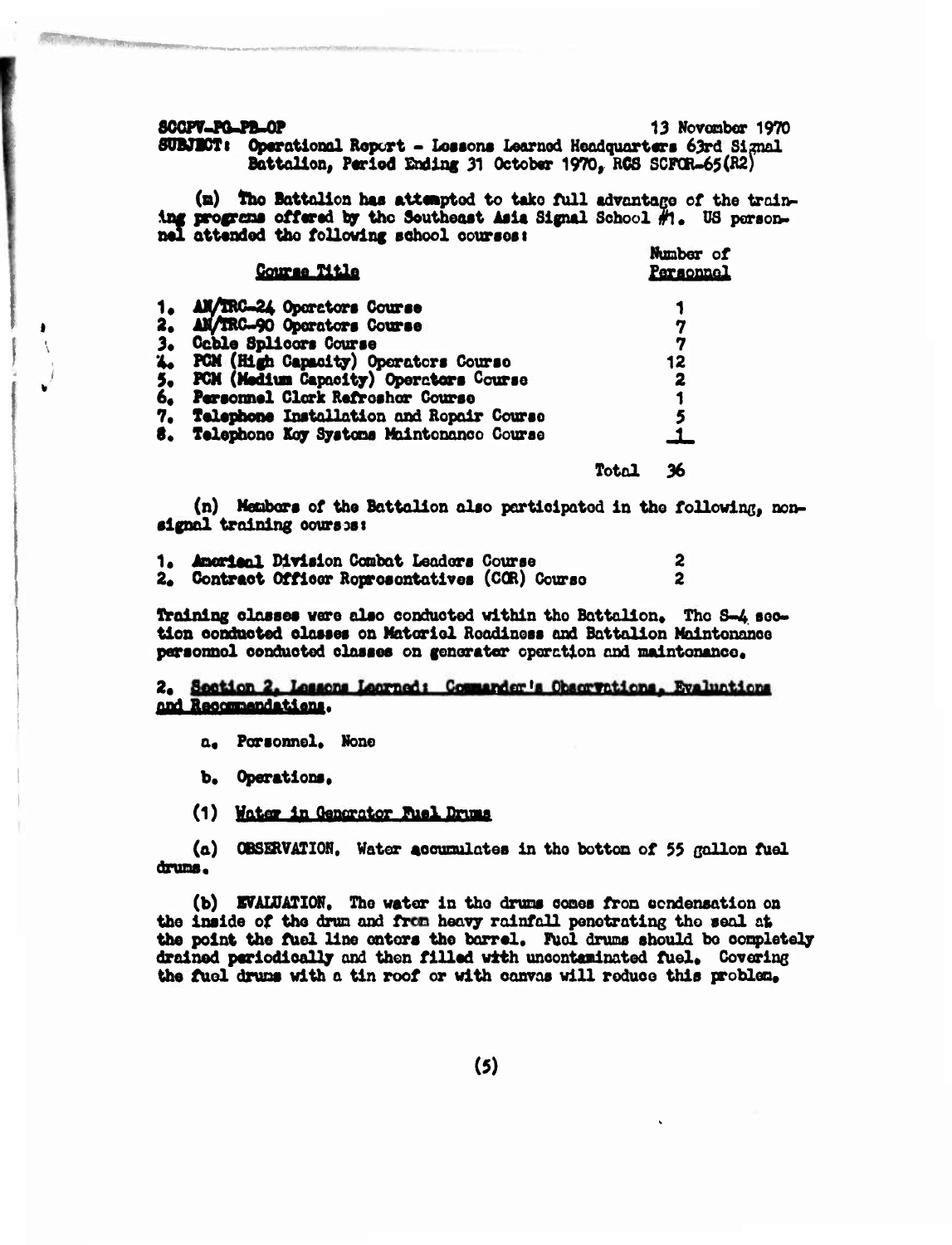**SCOPY-PG-PB-OP** 

13 November 1970 SUBJECT: Operational Report - Lessons Learned Headquarters 63rd Signal Battalion, Period Ending 31 October 1970, RCS SCFOR-65(R2)

(m) The Battalion has attempted to take full advantage of the training programs offered by the Southeast Asia Signal School  $H_0$ . US personnel attended the following school courses:

|    | Course Title                             |       | Number of<br>Personnel |
|----|------------------------------------------|-------|------------------------|
| 1. | AM/IRC-24 Operators Course               |       |                        |
| 2. | AM/IRC-90 Operators Course               |       |                        |
| 3. | <b>Coble Splicors Course</b>             |       | 7                      |
| 4. | PCM (High Capacity) Operators Course     |       | 12                     |
| 5. | PCM (Medium Capacity) Operators Course   |       | 2                      |
|    | 6. Personnel Clork Refroshor Course      |       |                        |
| 7. | Telephone Installation and Repair Course |       |                        |
| В. | Telephone Koy Systems Maintenance Course |       |                        |
|    |                                          | Total | 26                     |

(n) Members of the Battalion also participated in the following, nonsignal training courses:

|  | 1. Americal Division Combat Leaders Course       |  |
|--|--------------------------------------------------|--|
|  | 2. Contract Officer Roprosentatives (COR) Course |  |

Training classes were also conducted within the Battalion. The S-4 section conducted classes on Matoricl Roadiness and Battalion Maintenance personnel conducted classes on generator operation and maintenance.

## 2. Section 2. Lessons Learned: Commander's Observations. Evaluations and Recommendations.

a. Porsonnel. None

b. Operations.

(1) Water in Generator Fuel Drums

(a) OBSERVATION, Water accumulates in the bottom of 55 gallon fuel drums.

(b) EVALUATION. The water in the drums comes from eendensation on the inside of the drum and from heavy rainfall penetrating the seal at the point the fuel line enters the barrel. Fuel drums should be completely drained periodically and then filled with unconteminated fuel. Covering the fuel drums with a tin roof or with canvas will reduce this problem.

 $(5)$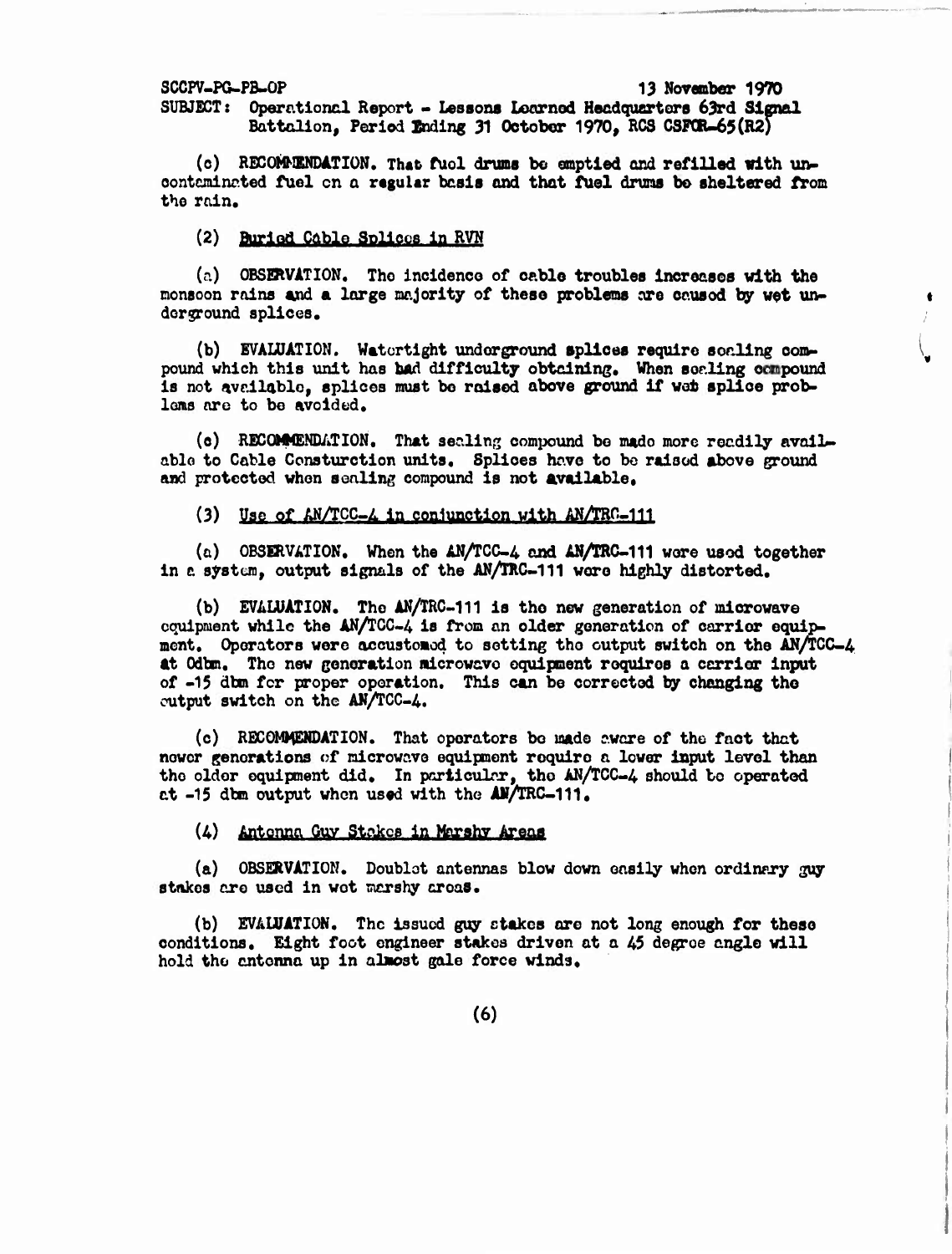**SCCP7-P&-PB-0P 13 November 1970**

**SUBJECT: Operational Report - Lessons Learned Hecdqotsrtors 63rd Signal Battalion, Period lading 31 October 1970, RCS CSFCIU65(R2)**

**(c) RECOMMENDATION. That fUol drums be emptied and refilled with unoontcnincted fuel on a regular basis and that fuel drums be sheltered from the rain.**

**(2) Buriod Cable Solicos in RVN**

**(p.) OBSERVATION. The incidenco of cable troubles increases with the**  $m$ onsoon rains and a large majority of these problems are caused by wet un**dor^round splices. ;**

**(b) EVALUATION. Watertight underground splices require scaling convpound which this unit has bad difficulty obtaining. When sealing compound is not available, splices must bo raised above ground if vet splice problons nre to be avoided.**

**(c) RECOMMENDATION. That sealing compound bo made more readily avails able to Cable Consturction units. Splices hove to bo raised above ground and protected vhon sealing compound is not available.**

### **(3) Use of AN/TCC-A in cenlunetien «ith AN/TRC-IH**

**(a) OBSERVATION. When the AN/TCC-4 and AN/TRC-111 wore used together in** *c* **system, output signals of the AN/TRC-111 vero highly distorted.**

**(b) EVALUATION. The AN/TRC-111 is the new generation of microwave equipment while the AN/TGG-4 is from an older generation of carrier equipment. Operators were accustomod to setting the output switch on the AN/TCC-A tt Odtan. The new generation microwave equipment requires <sup>a</sup> ccrrlar input of -15 dbm for proper operation. This can be corrected by changing the output switch on the AN/TCC-A.**

**(c) RECOMMENDATION. That operators bo made awcre of the fact that newer generations of microwave equipment require a lower input level than the older equipment did. In particular, tho AN/TCC-4 should bo operated at -15 dbn output when used with the AN/TRC-111,**

**(A) Antcnnn Qaz atatoa An** *Vujüa* **IEJM**

**(a) OBSERVATION. Doublot antennas blow down easily when ordinary guy stakes ore used in wet marshy areas.**

**(b) EVALUATION. The issued guy stakes ore not long enough for these conditions. Eight foot engineer stakes driven at a A5 degree angle will hold the antenna up in almost gale force winds.**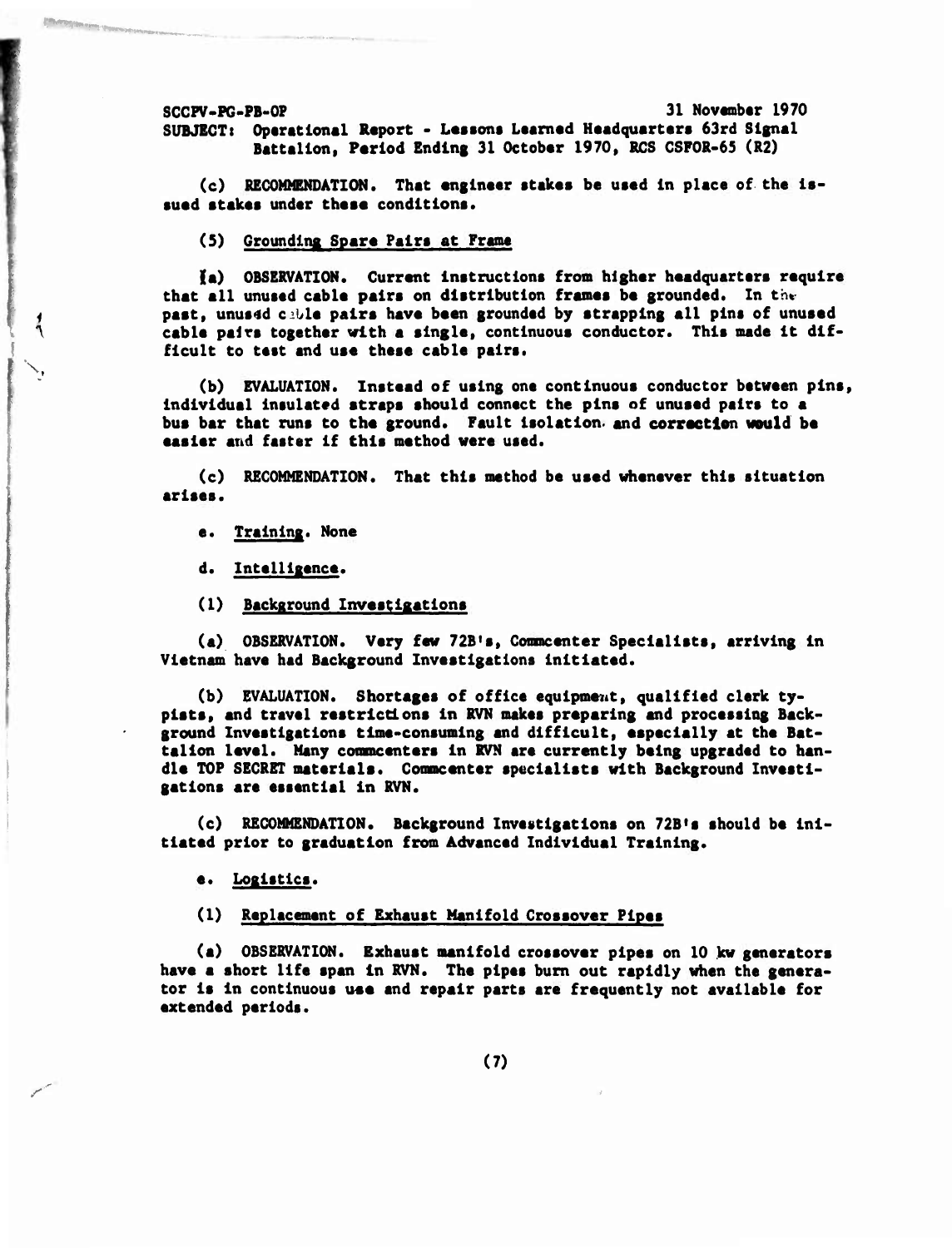**SCCPV-PG-PB-OP 31 November 1970 SUBJECT:** Operational Report - Lessons Learned Headquarters 63rd Signal **Battalion, Period Ending 31 October 1970, RCS CSFOR-65 (R2)**

**(c) RECOMMENDATION. That engineer stakes be used in place of the issued stakes under thee« conditions.**

**(5) Grounding Spare Pairs at Frame**

**la) OBSERVATION. Current instructions from higher headquarters require that** all unused cable pairs on distribution frames be grounded. In the **past, unused cijle pairs have been grounded by strapping all pins of unused ceble pelrs together with e single, continuous conductor. This made it difficult to test end use these cable pairs.**

**(b) EVALUATION. Instead of using one continuous conductor between pins, individual insulated straps should connect the pins of unused pairs to a bus bar that runs to the ground. Feult isolation, and correction would be easier and faster if this method were used.**

**(c) RECOMMENDATION. That this method be used whenever this situation arises.**

**e. Training. None**

**N,**

**Last of the civil of the company of the company of the company of the company of the company of the company of the company of the company of the company of the company of the company of the company of the company of the c** 

*s*

**d. Intelligence.**

**(1) Background Invest iget ions**

**(a) OBSERVATION. Very few 72B,s, Commcenter Specialists, arriving in Vietnam have had Background Investigations initiated.**

**(b) EVALUATION. Shortages of office equipment, qualified clerk typists, end travel restrictions in RVN makes preparing end processing Beckground Investigations time-consuming and difficult, especially et the Battalion level. Meny comncenters In RVN are currently being upgreded to hendie TOP SECRET materials. Commcenter specialists with Background Investigetions ere essential in RVN.**

**(c) RECOMMENDATION. Background Investigations on 72B<sup>l</sup> s should be initiated prior to greduatlon from Advanced Individual Training.**

**e. Logistics.**

### **(1) Replecement of Exheust Manifold Crossover Pipes**

**(a) OBSERVATION. Exhaust manifold crossover pipes on 10 kw generators hsve e short life span In RVN. The pipes bum out repidly when the generator is in continuous use end repair parts ere frequently not available for extended periods.**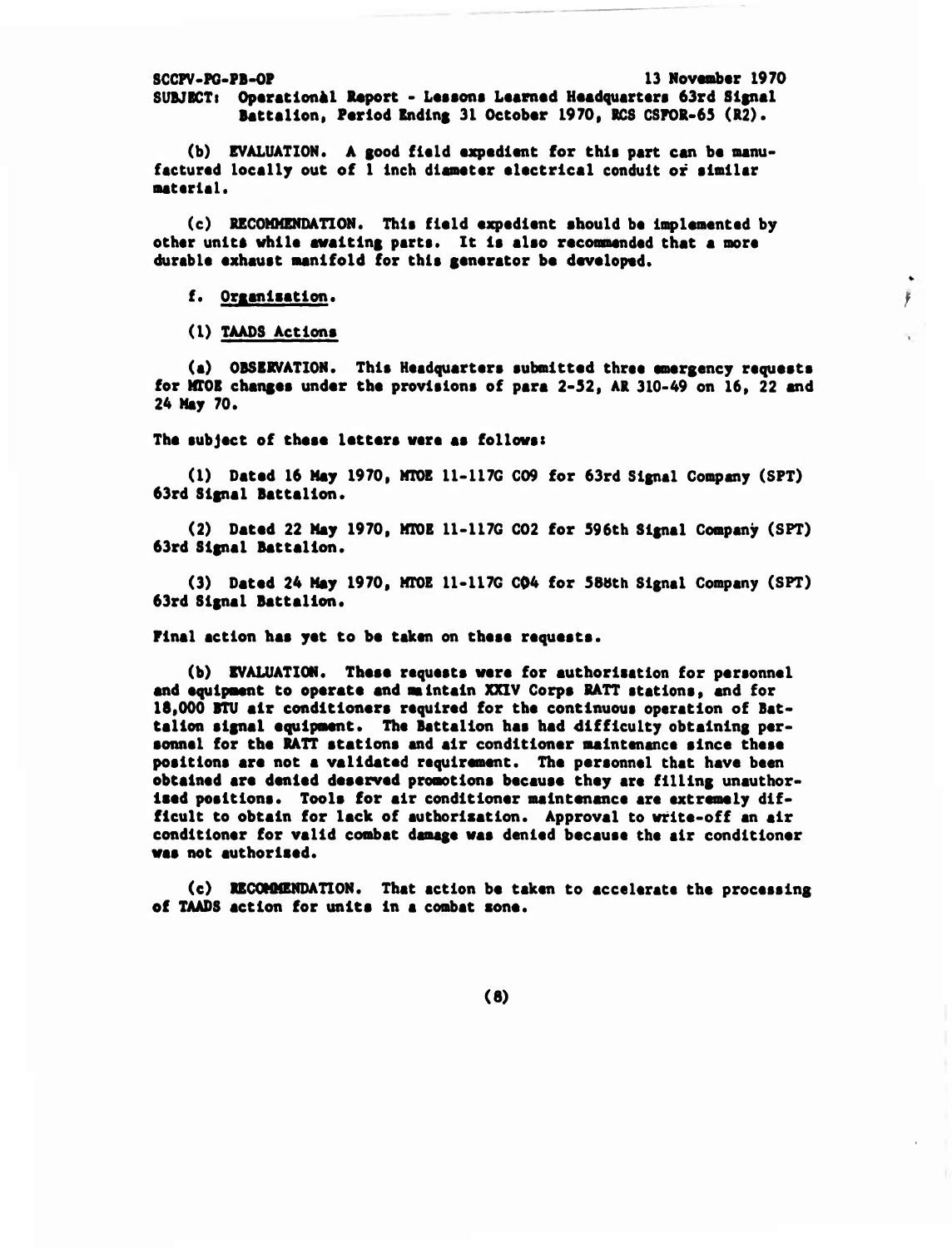**SCCPV-PG-PB-OP 13 November 1970 SUBJECTi OparatlonAl Report - Lesson« L««rn«d Headquarters 63rd Signal Battalion, Period Ending 31 October 1970, RCS CSPOR-65 (R2).**

**(b) EVALUATION. <sup>A</sup> good field expedient for this part can be manufactured locally out of <sup>1</sup> Inch diameter electrical conduit of similar materiel.**

**(c) RECOMMENDATION. This field expedient should be Implemented by other unit\* while awaiting parts. It is also reconmended that a more durable exhaust manifold for this generetor be developed.**

### **f. Orxenlaetlon.**

**(1) TAAD8 Actions**

**(a) OBSERVATION. This Headquarters submitted three emergency requests for MTOE chenges under the provisions of pere 2-32, AR 310-49 on 16, 22 and 24 May 70.**

ļ.

**The subject of these letters were es follows!**

**(1) Deted 16 Mey 1970, MTOE 11-117G C09 for 63rd Signal Company (SPT) 63rd Signal Battalion.**

**(2) Dated 22 Mey 1970, MTOE 11-117G C02 for 596th Signal Company (SPT) 63rd Signal Battalion.**

**(3) Dated 24 May 1970, MTOE 11-117G C04 for 58bth Signal Company (SPT) 63rd Signel Bettelion.**

**Pinel ectlon has yet to be taken on these requests.**

**(b) EVALUATION. These requests were for euthorisation for personnel end equipment to operate end aintain XXIV Corps RATT stations, end for 18,000 BTU air conditioners required for the continuous operation of Sattelion signel equipment. The Battalion hes bed difficulty obteining personnel for the RATT stations and air conditioner maintenanc« since these positions ere not e velideted requirement. The personnel that have been obtelned ere denied deserved promotions beceuse they ere filling unauthorised positions. Tools for eir conditioner maintenance are extremely difficult to obtain for lack of authorlsetion. Approvel to write-off en eir conditioner for velid combat damage wes denied because the air conditioner wee not euthorlsed.**

**(c) RECOMMENDATION. Thet ectlon be token to accelerate the processing of TAADS action for units in a combat sone.**

**(8)**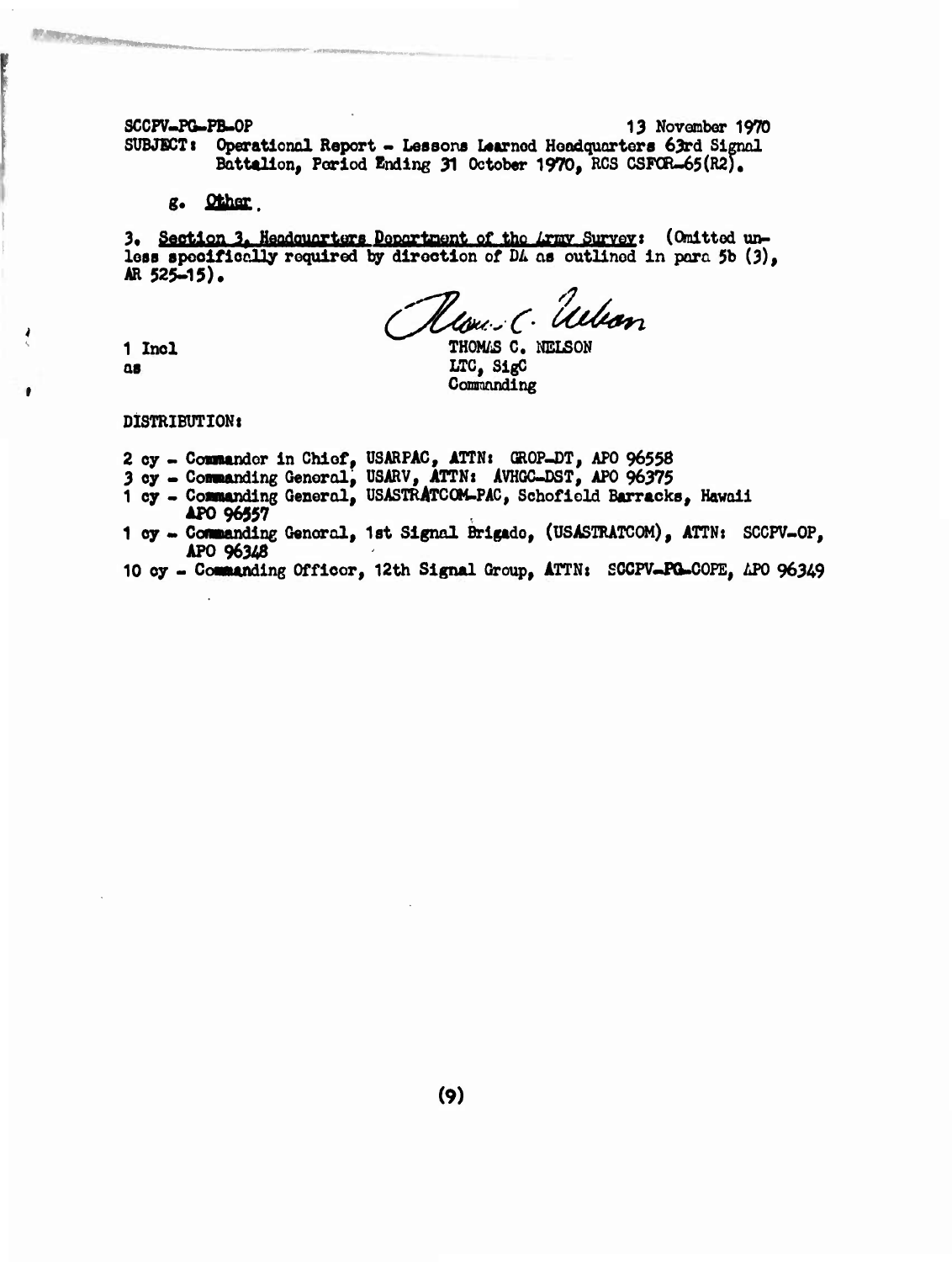SCCPV-PG-PB-OP 13 November 1970 SUBJECT: Operational Report - Lessons Learned Headquarters 63rd Signal Battalion, Period Ending 31 October 1970, RCS CSFOR-65(R2).

g. Other.

3. Section 3. Headquarters Department of the Lrmy Survey: (Omitted unless specifically required by direction of DA as outlined in para 5b (3), AR 525-15).

Heaven C. Ullian

1 Incl  $a<sub>s</sub>$ 

**A WOLFFORD** 

THOMAS C. NELSON LTC, SigC Commanding

DISTRIBUTION:

- 2 cy Commander in Chief, USARPAC, ATTN: GROP-DT, APO 96558
- 3 cy Commanding General, USARV, ATTN: AVHGC-DST, APO 96375
- 1 cy Commanding General, USASTRATCOM-PAC, Schofield Barracks, Hawaii APO 96557
- 1 oy Commanding Genoral, 1st Signal Brigado, (USASTRATCOM), ATTN: SCCPV-OP, APO 96348
- 10 cy Commanding Officor, 12th Signal Group, ATTN: SCCPV-PG-COPE, APO 96349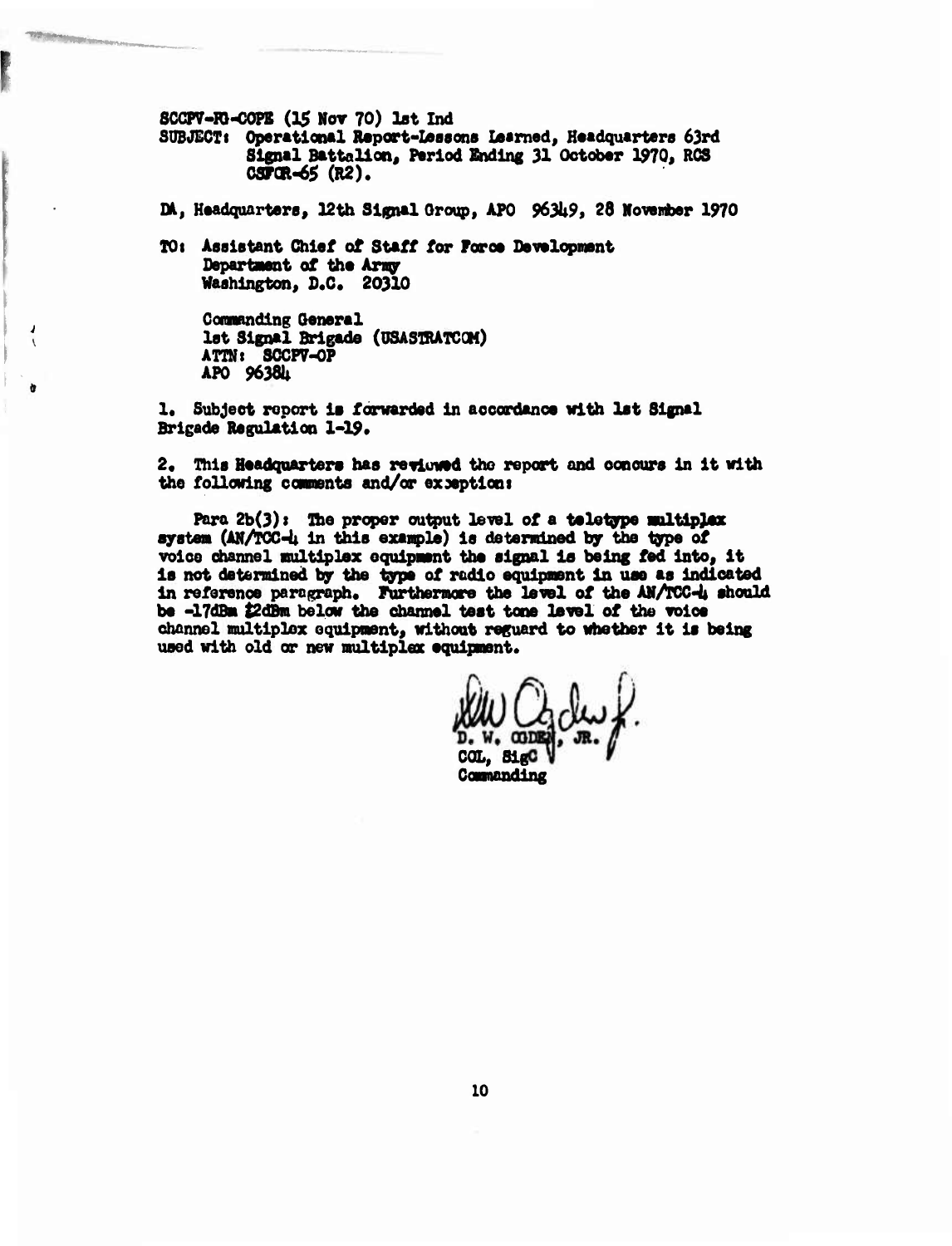**SCCPV-ro-COPE (25 Nov 70) lot Ind**

**SUBJECT:** Operational Report-Lessons Learned, Headquarters 63rd **Signal Battalion« Period Ending 31 October 1970, RCS C8P0R-65 (R2).**

**DU, Headquarters, 12th Signal Group, APO 963U9, 28 Movertber 1970**

**TO i Assistant Chief of Staff for Faroe Developwsnt Department of the Arngr Washington, 0.0. 20310**

**Conaanding General 1st Signal Brigade (OSASmATCOM) ATI» i SCCP7-0P APO 9638U**

**1. Subject report is forwarded in accordance with 1st Signal Brigade Regulation 1-19\***

**2« This Headquarters has reviuued the report and concurs in it with the following conraents and/or exceptioni**

**Para 2b(3) <sup>&</sup>gt; The proper output level of a teletype mltipjwr system (AN/PCC-U in this exanpl«) is determined by the type of voice channel multiplex oquipmmt the signal is being fed into, it is not determined by the type of radio equipment in use as indicated** in **reference** paragraph. Furthermore the level of the AN/TCC-4 should **be -17dBm tZdBm below the channel test tone level of the voice channel multiplex equipment, without reguard to whether it is being** used with old or new multiplex equipment.

 $COL, 81gC$ **Comnanding**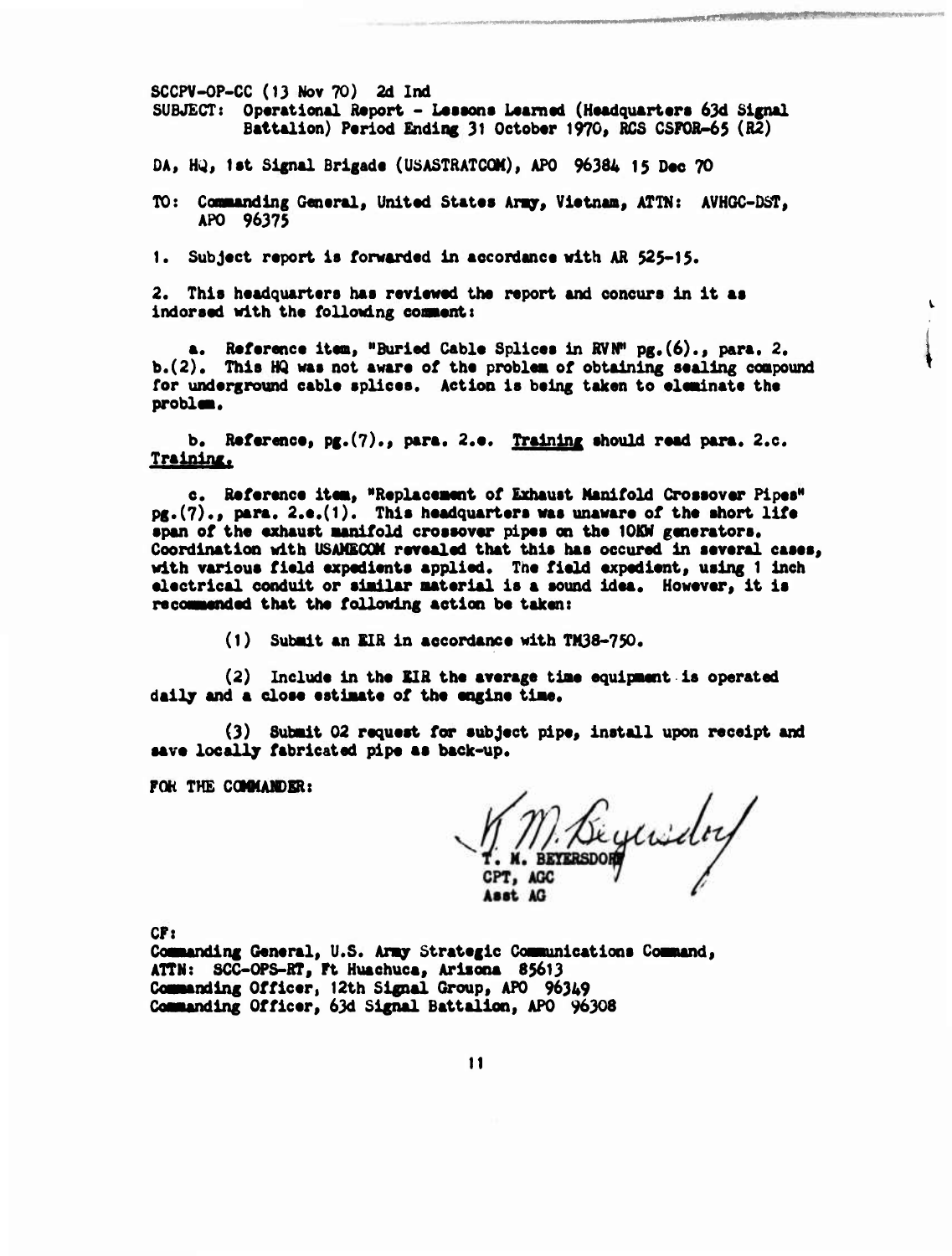**SCCPV-OP-CC (13 Nov 70} 2d Ind**  $SUBJECT:$  **Operational Report - Lessons Learned** (Headquarters 63d Signal **Battalion) Period Ending 31 Oetobtr 1970, RCS CSFOR-65 (R2)**

**COMPANY AND COMPANY OF A PROPERTY AND ARRANGEMENT OF A PARTIES** 

**DA,** *Wi\$* **lat Signal Brigade (USASTRATCQH), APO 96384 15 Dae 70**

**TO: Canaanding Genaral, United States Aragr, Vietnam, ATTN: AVHGC-DST, APO 96375**

**1. Subject report is forwarded in accordance with AR 525-15.**

**2. This headquarters has reviewed the report and concurs in it aa indorsed with the following cooaent:**

**a. Reference item, "Buried Cable Splices in RVN" pg.(6)., para. 2. b.(2). This HQ was not aware of the problem of obtaining sealing compound for underground cable splices. Action is being taken to elmainate the problaa.**

**b. Reference, pg.(7)., para. 2.e. Training should read para. 2.e.** Training.

**c. Reference item, "Replacement of Exhaust Manifold Crossover Pipes" pg.(7)., para. 2.e.(1). This headquarters waa unaware of the short life span of the exhaust manifold crossover pipes on the lOKW gmierators. Coordination with USAMECOK revealed that this has occured in several cases, with varioua field expedients applied. The field expedient, using <sup>1</sup> inch electrical conduit or similar material is a sound idea. However, it ia recommended that the following action be taken:**

**(1) Submit an KIR in accordance with «138-750.**

**(2) Include in the SIR the average time equipment is operated daily and a dose estimate of the engine time.**

**(3) Submit 02 request for subject pipe, install upon receipt and aave locally fabricated pipe aa back-up.**

**FOR THE COMMAMDER:**

Biguida ast AG

**CF:**

**Commanding General, U.S. Army Strategic Coamunications Command, ATTN: SCC-OPS-RT, Ft Huachuca, Ariaona 85613 Commanding Officer, 12th Signal Group, APO 96349 Commanding Officer, 63d Signal Battalion, APO 96308**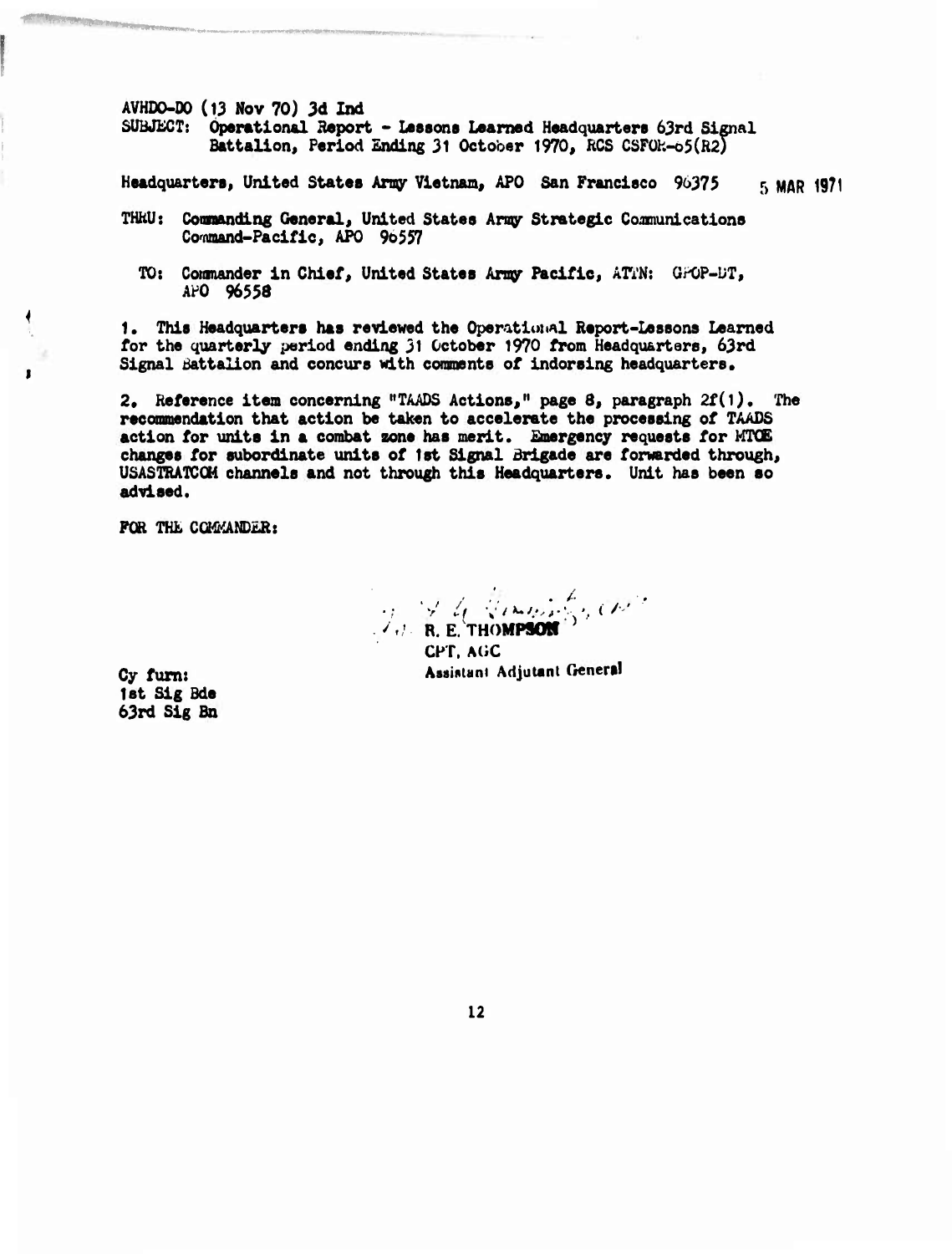**AVHDO-DO (13 Nov 70) 3d** *lud*

**SUBJECT: Operational Beport - Lessons Learned Headquarters 63rd Signal Battalion, Period Ending 31 October 1970, RCS CSFüh-o5(R2)**

**Headquarters, United States Army Vietnam, APO San Francisco 96373 5 MAR 1971**

- **THHU: Commanding General, United Statee Army Strategic Coomunications Cowaand-Pacific, APO 9o557**
	- **TO: Conmander in Chief, United States Army Pacific, ATVN: OPOP-DT, AH) 96553**

**1. This Headquarters has reviewed the Operational Report-Lessons Learned for the quarterly period ending 31 October 1970 from Headquarters, 63rd Signal battalion and concurs with comments of indorsing headquarters.**

**2. Reference item concerning "TAADS Actions," page 8, paragraph 2f(l). The recommendation that action be taken to accelerate the processing of TAADS action for units in a combat zone has merit. Emergency requests for HTOE changes for subordinate units of 1st Signal Brigade are forwarded through, USASTRATCOM channels and not through this Headquarters. Unit has been so advised.**

**FOR THE COMMANDER:** 

.//' •  $\overline{\mathcal{L}}$ **•; <sup>v</sup>** *il \ /\*\*'. '> '•.. ( '''* **../f/ R. E/THOMPSOII CHT. A(;C** Cy furn: **Assistant Adjutant General** 

**let Sig Bde 63rd Sig Bn**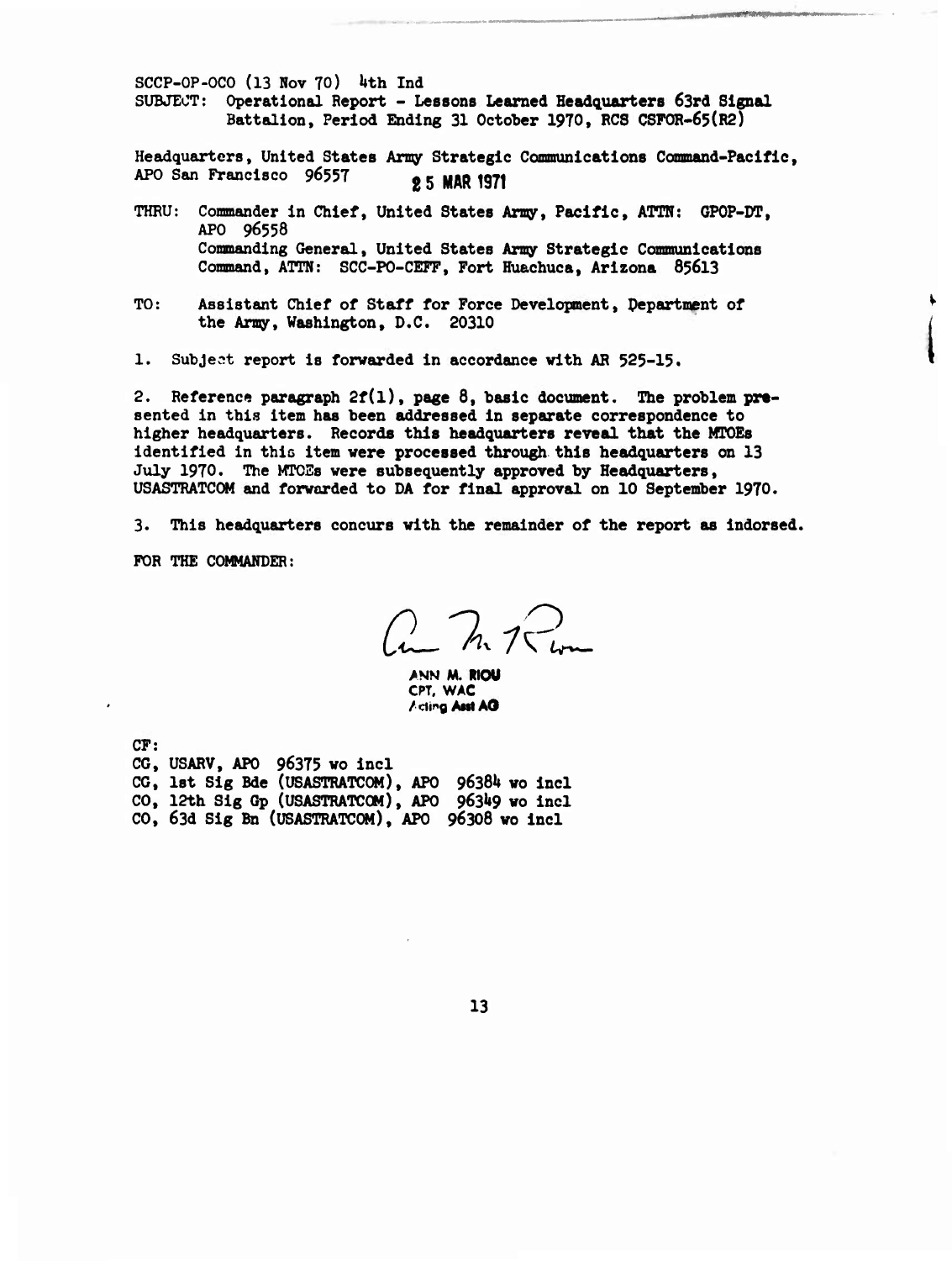$SCCP-OP-OCO$  (13 Nov 70) 4th Ind SUBJECT: Operational Report - Lessons Learned Headquarters 63rd Signed Battalion, Period Ending 31 October 1970, RC8 CSFOR-65(R2)

Headquarters, United States Army Strategic Communications Command-Pacific, APO San Francisco 96557 **25 MAR 1971** 

- THRU: Commander in Chief, United States Army, Pacific, ATTN: GPOP-DT, APO 96558 Commanding General, United States Army Strategic Communications Command, ATTN: SCC-PO-CEFF, Fort Huachuca, Arizona 85613
- TO: Assistant Chief of Staff for Force Development, Pepartment of the Amy, Washington, D.C. 20310
- 1. Subject report is forwarded in accordance with AR 525-15.

2. Reference paragraph  $2f(1)$ , page  $8$ , basic document. The problem presented in this item has been addressed in separate correspondence to higher headquarters. Records this headquarters reveal that the MTOEs identified in this item were processed through this headquarters on 13 July 1970. The MTOEs were subsequently approved by Headquarters, USASTRATCOM and forwarded to DA for final approval on 10 September 1970.

3. This headquarters concurs with the remainder of the report as indorsed.

FOR THE COMMANDER:

 $2hR$ 

**>NN M. RIOU CPT. WAC /ding AMI AO**

**CF:**

CG, USARV, APO 96375 wo incl CG, 1st Slg Bde (USASTRATCOM), APO *9636k* wo incl CO, 12th Sig Gp (USASTRATCOM), APO 96349 wo incl CO, 63d Slg Bn (USASTRATCOM), APO 96308 wo incl

13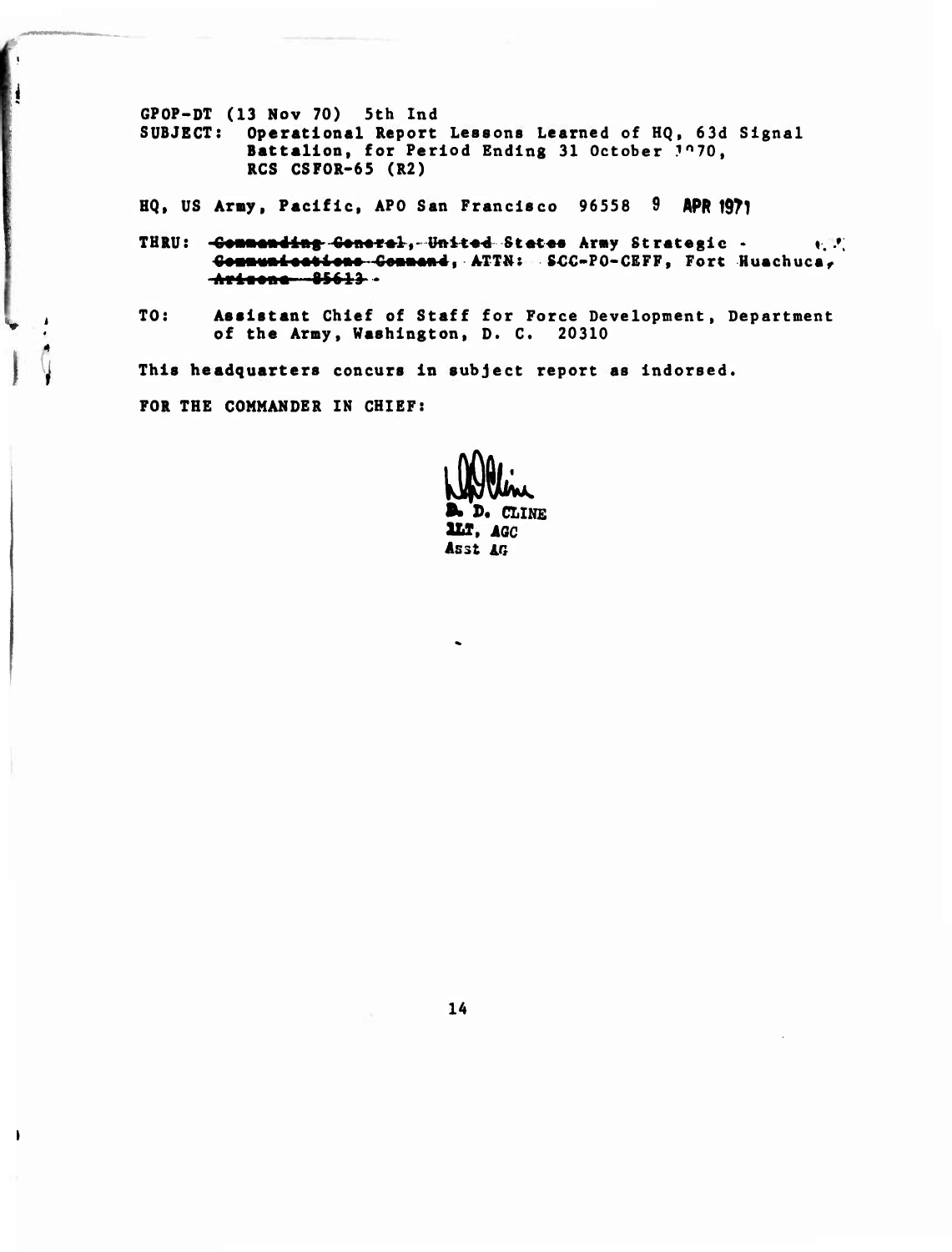GPOP-DT (13 Nov 70) 5th Ind SUBJECT: Operational Report Lessons Learned of HQ, 63d Signal Battalion, for Period Ending 31 October 1070,  $RCS$   $CSPOR-65$   $(R2)$ 

HQ, US Army, Pacific, APO San Francisco 96558 9 APR 1971

- THRU: Commanding Concrel, United States Army Strategic .  $\mathbf{v}, \mathbf{v}'$ Communications Command, ATTN: SCC-PO-CEFF, Fort Huachuca, Arisona 85613 .
- TO: Assistant Chief of Staff for Force Development, Department of the Army, Washington, D. C. 20310

This headquarters concurs in subject report as indorsed.

FOR THE COMMANDER IN CHIEF:

H

 $\overline{\phantom{a}}$ 

D. CLINE LLT, AGC Asst AG

14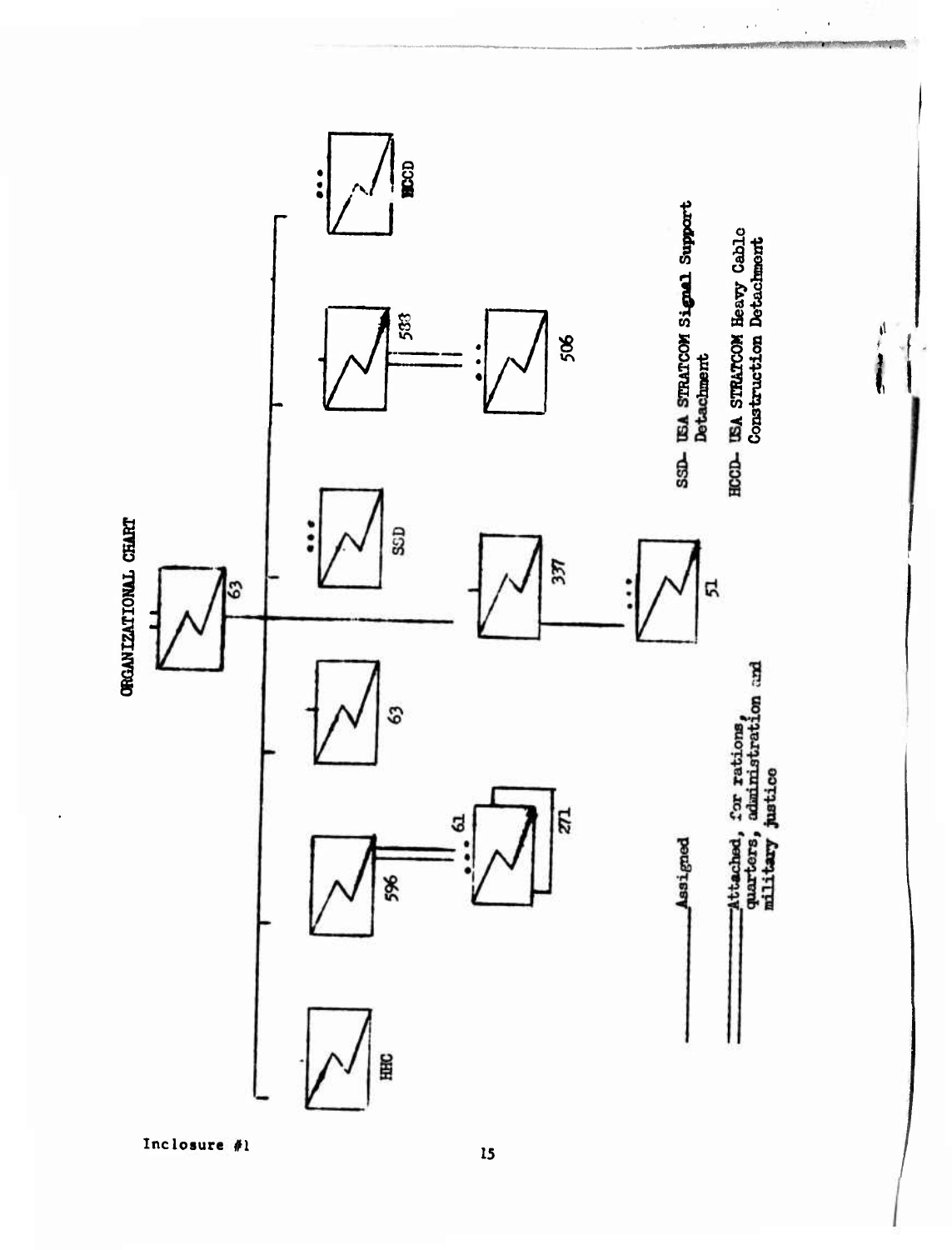

 $\tilde{\mathcal{C}}$ 

 $\ddot{\phantom{0}}$  $\mathbf{r}$ 

**Contract of the Co** 

计主

 $\overline{\phantom{a}}$ 

Inclosure #1

15